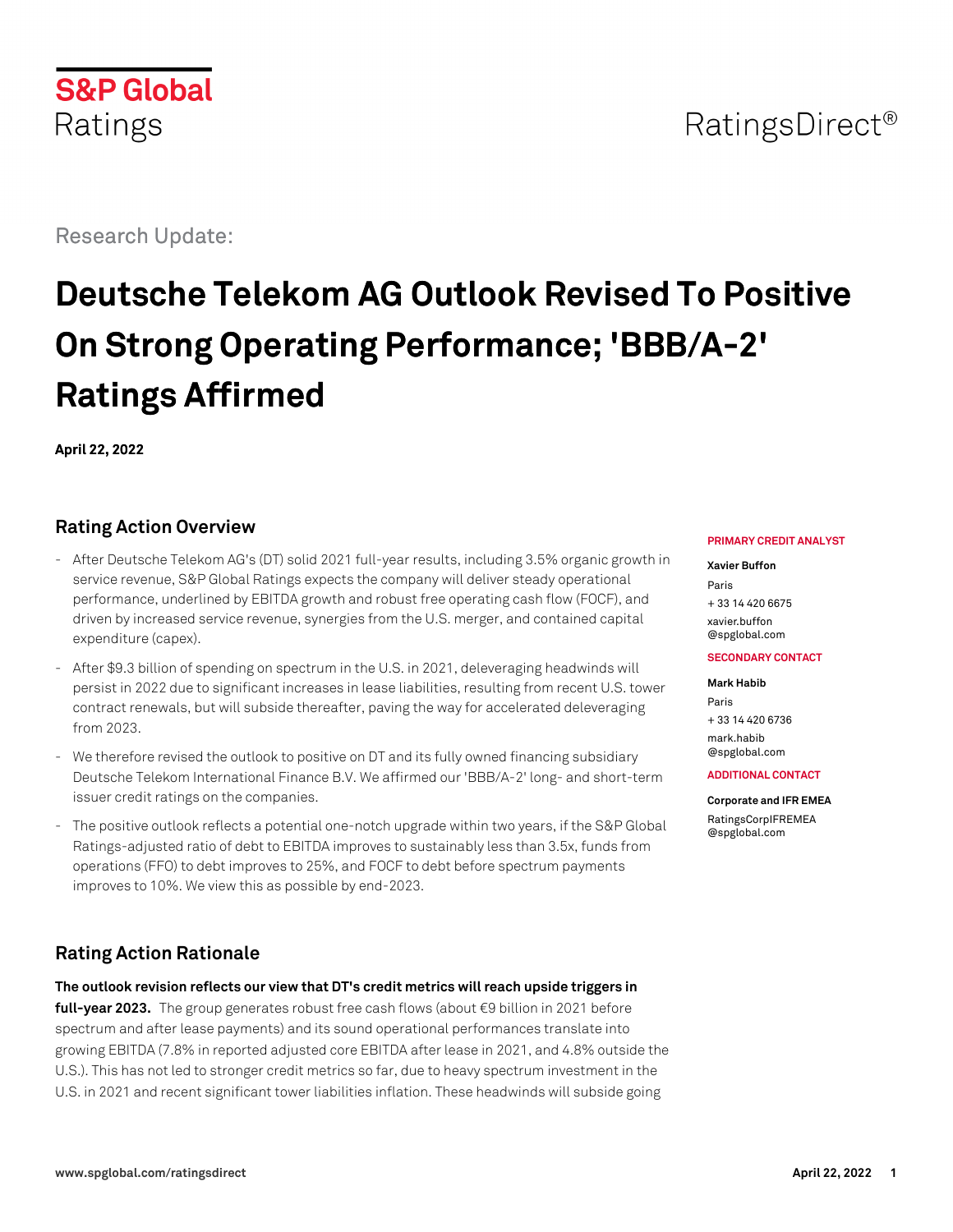## RatingsDirect<sup>®</sup>

Research Update:

# **Deutsche Telekom AG Outlook Revised To Positive On Strong Operating Performance; 'BBB/A-2' Ratings Affirmed**

**April 22, 2022**

## **Rating Action Overview**

- After Deutsche Telekom AG's (DT) solid 2021 full-year results, including 3.5% organic growth in service revenue, S&P Global Ratings expects the company will deliver steady operational performance, underlined by EBITDA growth and robust free operating cash flow (FOCF), and driven by increased service revenue, synergies from the U.S. merger, and contained capital expenditure (capex).
- After \$9.3 billion of spending on spectrum in the U.S. in 2021, deleveraging headwinds will persist in 2022 due to significant increases in lease liabilities, resulting from recent U.S. tower contract renewals, but will subside thereafter, paving the way for accelerated deleveraging from 2023.
- We therefore revised the outlook to positive on DT and its fully owned financing subsidiary Deutsche Telekom International Finance B.V. We affirmed our 'BBB/A-2' long- and short-term issuer credit ratings on the companies.
- The positive outlook reflects a potential one-notch upgrade within two years, if the S&P Global Ratings-adjusted ratio of debt to EBITDA improves to sustainably less than 3.5x, funds from operations (FFO) to debt improves to 25%, and FOCF to debt before spectrum payments improves to 10%. We view this as possible by end-2023.

## **Rating Action Rationale**

**The outlook revision reflects our view that DT's credit metrics will reach upside triggers in full-year 2023.** The group generates robust free cash flows (about €9 billion in 2021 before spectrum and after lease payments) and its sound operational performances translate into growing EBITDA (7.8% in reported adjusted core EBITDA after lease in 2021, and 4.8% outside the U.S.). This has not led to stronger credit metrics so far, due to heavy spectrum investment in the U.S. in 2021 and recent significant tower liabilities inflation. These headwinds will subside going

#### **PRIMARY CREDIT ANALYST**

#### **Xavier Buffon**

Paris + 33 14 420 6675 [xavier.buffon](mailto:xavier.buffon@spglobal.com) [@spglobal.com](mailto:xavier.buffon@spglobal.com)

#### **SECONDARY CONTACT**

**Mark Habib** Paris + 33 14 420 6736 [mark.habib](mailto:mark.habib@spglobal.com) [@spglobal.com](mailto:mark.habib@spglobal.com)

#### **ADDITIONAL CONTACT**

#### **Corporate and IFR EMEA**

[RatingsCorpIFREMEA](mailto:RatingsCorpIFREMEA@spglobal.com) [@spglobal.com](mailto:RatingsCorpIFREMEA@spglobal.com)

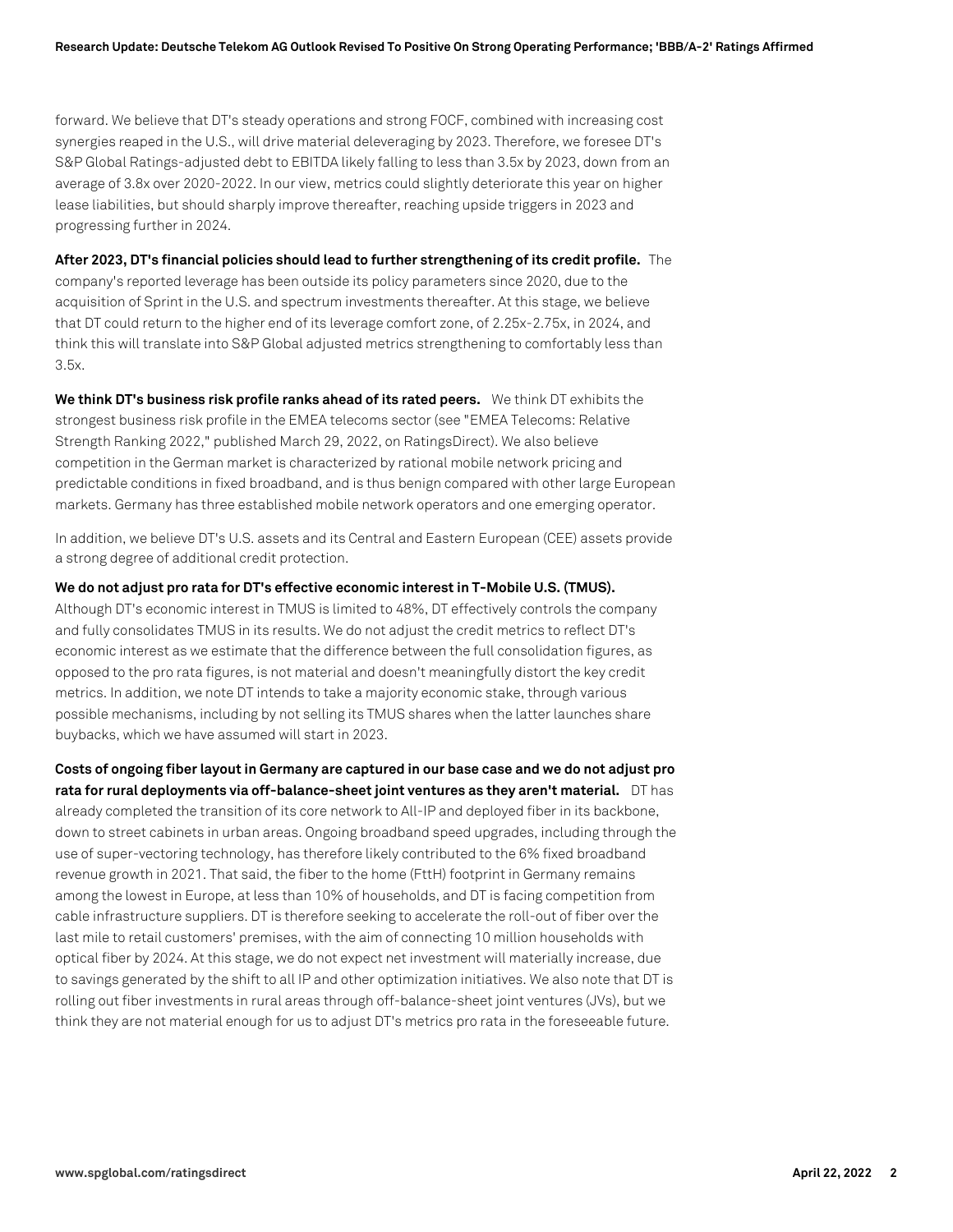forward. We believe that DT's steady operations and strong FOCF, combined with increasing cost synergies reaped in the U.S., will drive material deleveraging by 2023. Therefore, we foresee DT's S&P Global Ratings-adjusted debt to EBITDA likely falling to less than 3.5x by 2023, down from an average of 3.8x over 2020-2022. In our view, metrics could slightly deteriorate this year on higher lease liabilities, but should sharply improve thereafter, reaching upside triggers in 2023 and progressing further in 2024.

**After 2023, DT's financial policies should lead to further strengthening of its credit profile.** The company's reported leverage has been outside its policy parameters since 2020, due to the acquisition of Sprint in the U.S. and spectrum investments thereafter. At this stage, we believe that DT could return to the higher end of its leverage comfort zone, of 2.25x-2.75x, in 2024, and think this will translate into S&P Global adjusted metrics strengthening to comfortably less than 3.5x.

**We think DT's business risk profile ranks ahead of its rated peers.** We think DT exhibits the strongest business risk profile in the EMEA telecoms sector (see "EMEA Telecoms: Relative Strength Ranking 2022," published March 29, 2022, on RatingsDirect). We also believe competition in the German market is characterized by rational mobile network pricing and predictable conditions in fixed broadband, and is thus benign compared with other large European markets. Germany has three established mobile network operators and one emerging operator.

In addition, we believe DT's U.S. assets and its Central and Eastern European (CEE) assets provide a strong degree of additional credit protection.

**We do not adjust pro rata for DT's effective economic interest in T-Mobile U.S. (TMUS).**

Although DT's economic interest in TMUS is limited to 48%, DT effectively controls the company and fully consolidates TMUS in its results. We do not adjust the credit metrics to reflect DT's economic interest as we estimate that the difference between the full consolidation figures, as opposed to the pro rata figures, is not material and doesn't meaningfully distort the key credit metrics. In addition, we note DT intends to take a majority economic stake, through various possible mechanisms, including by not selling its TMUS shares when the latter launches share buybacks, which we have assumed will start in 2023.

**Costs of ongoing fiber layout in Germany are captured in our base case and we do not adjust pro rata for rural deployments via off-balance-sheet joint ventures as they aren't material.** DT has already completed the transition of its core network to All-IP and deployed fiber in its backbone, down to street cabinets in urban areas. Ongoing broadband speed upgrades, including through the use of super-vectoring technology, has therefore likely contributed to the 6% fixed broadband revenue growth in 2021. That said, the fiber to the home (FttH) footprint in Germany remains among the lowest in Europe, at less than 10% of households, and DT is facing competition from cable infrastructure suppliers. DT is therefore seeking to accelerate the roll-out of fiber over the last mile to retail customers' premises, with the aim of connecting 10 million households with optical fiber by 2024. At this stage, we do not expect net investment will materially increase, due to savings generated by the shift to all IP and other optimization initiatives. We also note that DT is rolling out fiber investments in rural areas through off-balance-sheet joint ventures (JVs), but we think they are not material enough for us to adjust DT's metrics pro rata in the foreseeable future.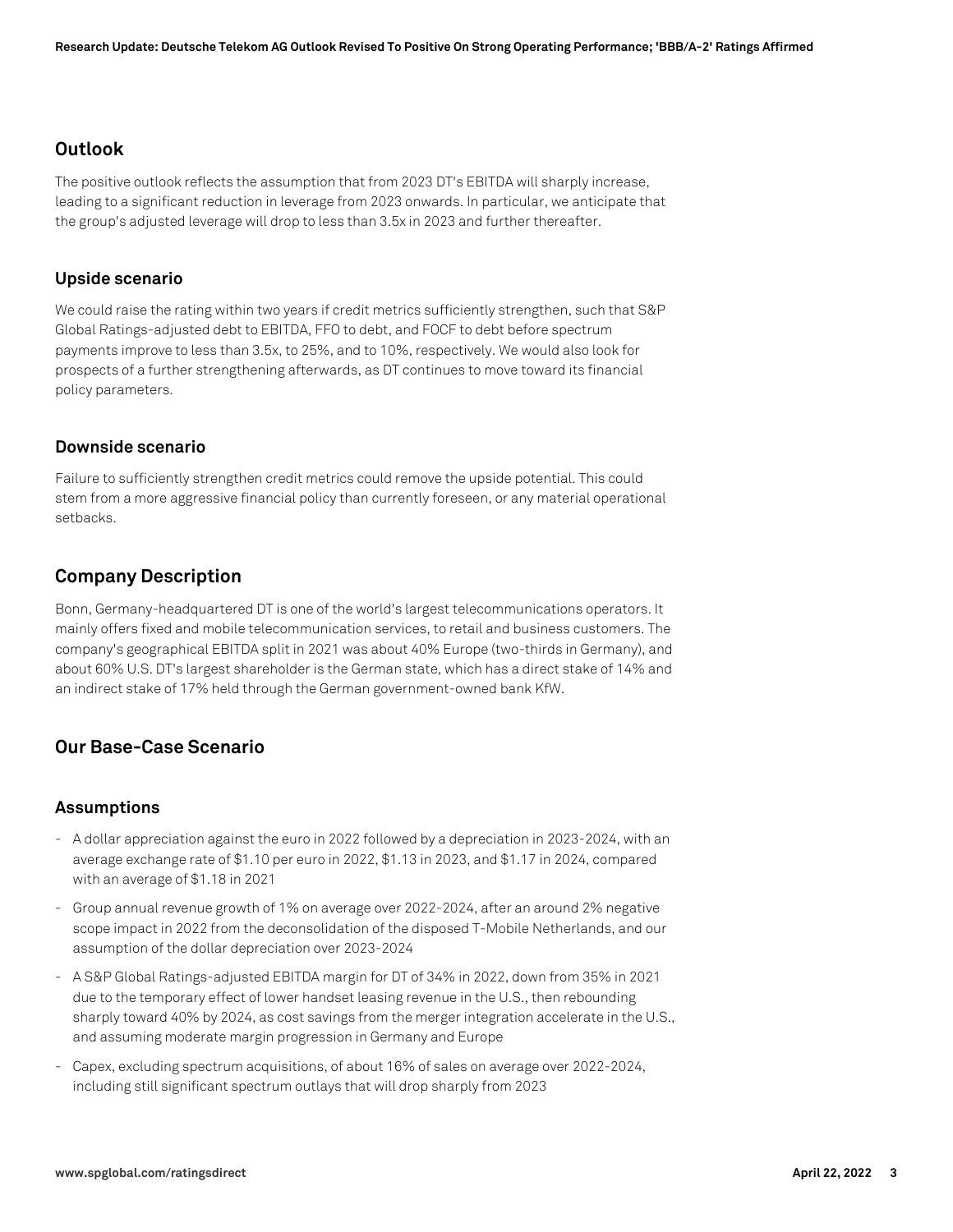## **Outlook**

The positive outlook reflects the assumption that from 2023 DT's EBITDA will sharply increase, leading to a significant reduction in leverage from 2023 onwards. In particular, we anticipate that the group's adjusted leverage will drop to less than 3.5x in 2023 and further thereafter.

#### **Upside scenario**

We could raise the rating within two years if credit metrics sufficiently strengthen, such that S&P Global Ratings-adjusted debt to EBITDA, FFO to debt, and FOCF to debt before spectrum payments improve to less than 3.5x, to 25%, and to 10%, respectively. We would also look for prospects of a further strengthening afterwards, as DT continues to move toward its financial policy parameters.

#### **Downside scenario**

Failure to sufficiently strengthen credit metrics could remove the upside potential. This could stem from a more aggressive financial policy than currently foreseen, or any material operational setbacks.

## **Company Description**

Bonn, Germany-headquartered DT is one of the world's largest telecommunications operators. It mainly offers fixed and mobile telecommunication services, to retail and business customers. The company's geographical EBITDA split in 2021 was about 40% Europe (two-thirds in Germany), and about 60% U.S. DT's largest shareholder is the German state, which has a direct stake of 14% and an indirect stake of 17% held through the German government-owned bank KfW.

## **Our Base-Case Scenario**

## **Assumptions**

- A dollar appreciation against the euro in 2022 followed by a depreciation in 2023-2024, with an average exchange rate of \$1.10 per euro in 2022, \$1.13 in 2023, and \$1.17 in 2024, compared with an average of \$1.18 in 2021
- Group annual revenue growth of 1% on average over 2022-2024, after an around 2% negative scope impact in 2022 from the deconsolidation of the disposed T-Mobile Netherlands, and our assumption of the dollar depreciation over 2023-2024
- A S&P Global Ratings-adjusted EBITDA margin for DT of 34% in 2022, down from 35% in 2021 due to the temporary effect of lower handset leasing revenue in the U.S., then rebounding sharply toward 40% by 2024, as cost savings from the merger integration accelerate in the U.S., and assuming moderate margin progression in Germany and Europe
- Capex, excluding spectrum acquisitions, of about 16% of sales on average over 2022-2024, including still significant spectrum outlays that will drop sharply from 2023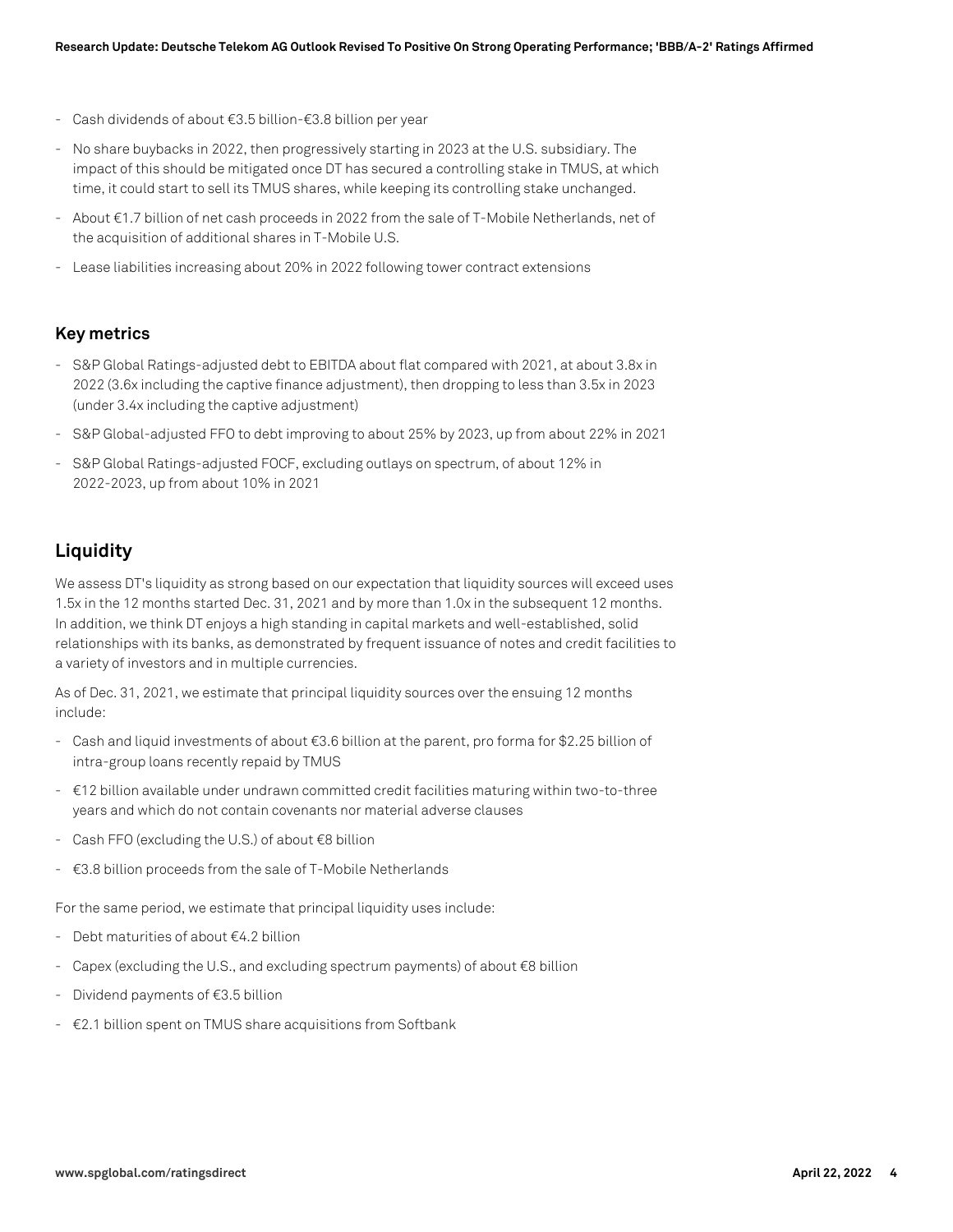- Cash dividends of about €3.5 billion-€3.8 billion per year
- No share buybacks in 2022, then progressively starting in 2023 at the U.S. subsidiary. The impact of this should be mitigated once DT has secured a controlling stake in TMUS, at which time, it could start to sell its TMUS shares, while keeping its controlling stake unchanged.
- About €1.7 billion of net cash proceeds in 2022 from the sale of T-Mobile Netherlands, net of the acquisition of additional shares in T-Mobile U.S.
- Lease liabilities increasing about 20% in 2022 following tower contract extensions

#### **Key metrics**

- S&P Global Ratings-adjusted debt to EBITDA about flat compared with 2021, at about 3.8x in 2022 (3.6x including the captive finance adjustment), then dropping to less than 3.5x in 2023 (under 3.4x including the captive adjustment)
- S&P Global-adjusted FFO to debt improving to about 25% by 2023, up from about 22% in 2021
- S&P Global Ratings-adjusted FOCF, excluding outlays on spectrum, of about 12% in 2022-2023, up from about 10% in 2021

## **Liquidity**

We assess DT's liquidity as strong based on our expectation that liquidity sources will exceed uses 1.5x in the 12 months started Dec. 31, 2021 and by more than 1.0x in the subsequent 12 months. In addition, we think DT enjoys a high standing in capital markets and well-established, solid relationships with its banks, as demonstrated by frequent issuance of notes and credit facilities to a variety of investors and in multiple currencies.

As of Dec. 31, 2021, we estimate that principal liquidity sources over the ensuing 12 months include:

- Cash and liquid investments of about €3.6 billion at the parent, pro forma for \$2.25 billion of intra-group loans recently repaid by TMUS
- €12 billion available under undrawn committed credit facilities maturing within two-to-three years and which do not contain covenants nor material adverse clauses
- Cash FFO (excluding the U.S.) of about €8 billion
- $\epsilon$ 3.8 billion proceeds from the sale of T-Mobile Netherlands

For the same period, we estimate that principal liquidity uses include:

- Debt maturities of about €4.2 billion
- Capex (excluding the U.S., and excluding spectrum payments) of about €8 billion
- Dividend payments of €3.5 billion
- €2.1 billion spent on TMUS share acquisitions from Softbank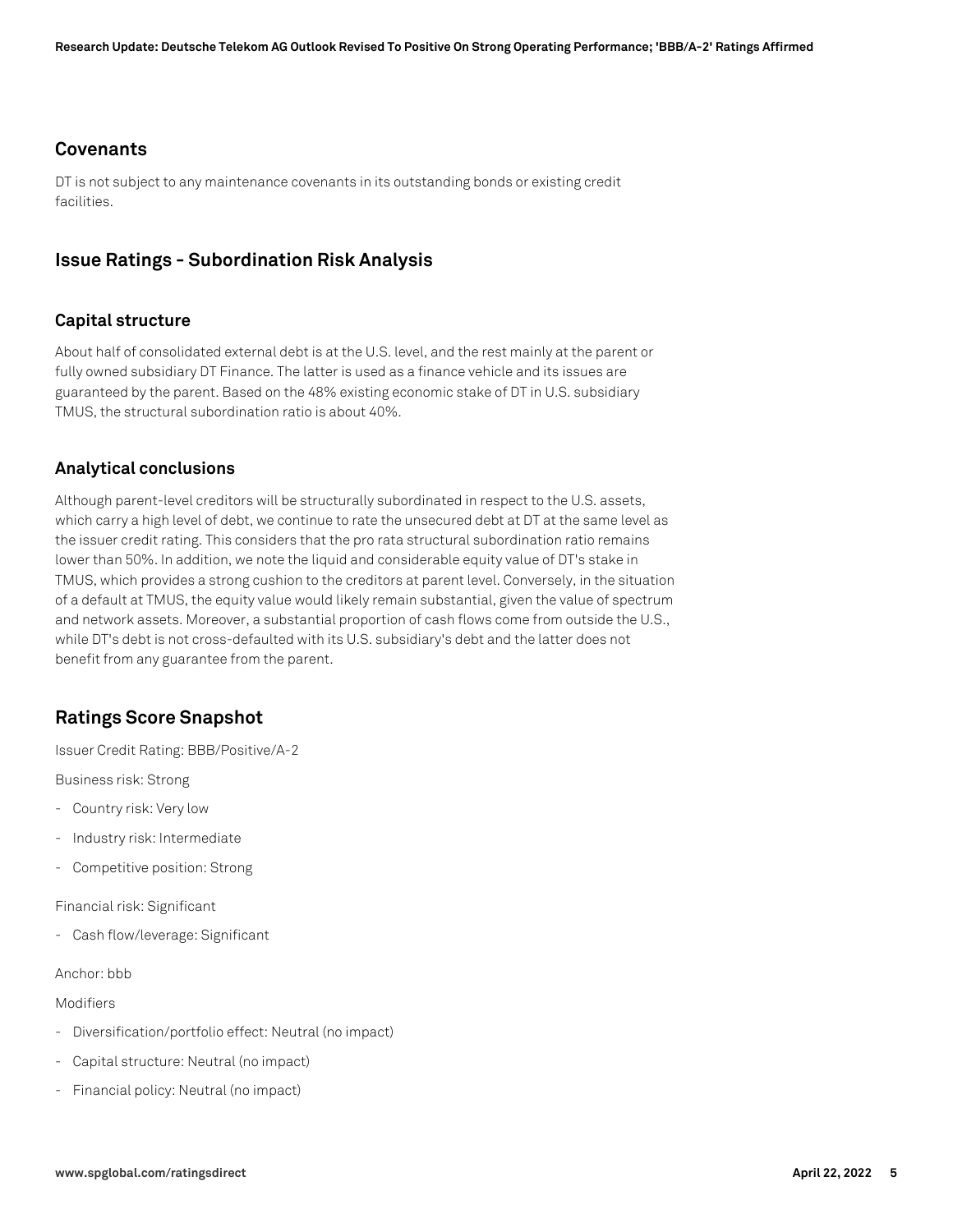#### **Covenants**

DT is not subject to any maintenance covenants in its outstanding bonds or existing credit facilities.

## **Issue Ratings - Subordination Risk Analysis**

#### **Capital structure**

About half of consolidated external debt is at the U.S. level, and the rest mainly at the parent or fully owned subsidiary DT Finance. The latter is used as a finance vehicle and its issues are guaranteed by the parent. Based on the 48% existing economic stake of DT in U.S. subsidiary TMUS, the structural subordination ratio is about 40%.

#### **Analytical conclusions**

Although parent-level creditors will be structurally subordinated in respect to the U.S. assets, which carry a high level of debt, we continue to rate the unsecured debt at DT at the same level as the issuer credit rating. This considers that the pro rata structural subordination ratio remains lower than 50%. In addition, we note the liquid and considerable equity value of DT's stake in TMUS, which provides a strong cushion to the creditors at parent level. Conversely, in the situation of a default at TMUS, the equity value would likely remain substantial, given the value of spectrum and network assets. Moreover, a substantial proportion of cash flows come from outside the U.S., while DT's debt is not cross-defaulted with its U.S. subsidiary's debt and the latter does not benefit from any guarantee from the parent.

## **Ratings Score Snapshot**

Issuer Credit Rating: BBB/Positive/A-2

Business risk: Strong

- Country risk: Very low
- Industry risk: Intermediate
- Competitive position: Strong

Financial risk: Significant

- Cash flow/leverage: Significant

#### Anchor: bbb

Modifiers

- Diversification/portfolio effect: Neutral (no impact)
- Capital structure: Neutral (no impact)
- Financial policy: Neutral (no impact)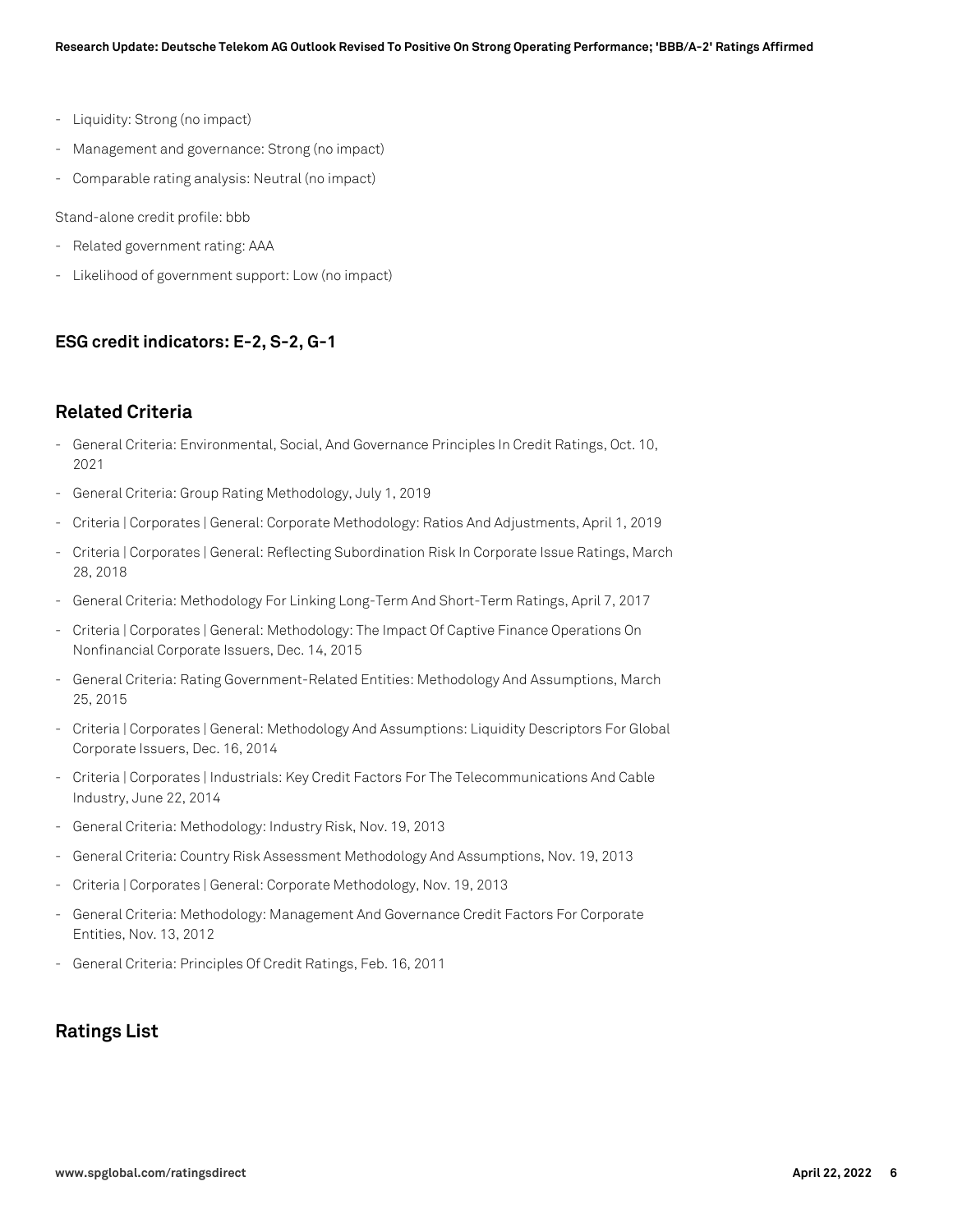- Liquidity: Strong (no impact)
- Management and governance: Strong (no impact)
- Comparable rating analysis: Neutral (no impact)

Stand-alone credit profile: bbb

- Related government rating: AAA
- Likelihood of government support: Low (no impact)

#### **ESG credit indicators: E-2, S-2, G-1**

#### **Related Criteria**

- General Criteria: Environmental, Social, And Governance Principles In Credit Ratings, Oct. 10, 2021
- General Criteria: Group Rating Methodology, July 1, 2019
- Criteria | Corporates | General: Corporate Methodology: Ratios And Adjustments, April 1, 2019
- Criteria | Corporates | General: Reflecting Subordination Risk In Corporate Issue Ratings, March 28, 2018
- General Criteria: Methodology For Linking Long-Term And Short-Term Ratings, April 7, 2017
- Criteria | Corporates | General: Methodology: The Impact Of Captive Finance Operations On Nonfinancial Corporate Issuers, Dec. 14, 2015
- General Criteria: Rating Government-Related Entities: Methodology And Assumptions, March 25, 2015
- Criteria | Corporates | General: Methodology And Assumptions: Liquidity Descriptors For Global Corporate Issuers, Dec. 16, 2014
- Criteria | Corporates | Industrials: Key Credit Factors For The Telecommunications And Cable Industry, June 22, 2014
- General Criteria: Methodology: Industry Risk, Nov. 19, 2013
- General Criteria: Country Risk Assessment Methodology And Assumptions, Nov. 19, 2013
- Criteria | Corporates | General: Corporate Methodology, Nov. 19, 2013
- General Criteria: Methodology: Management And Governance Credit Factors For Corporate Entities, Nov. 13, 2012
- General Criteria: Principles Of Credit Ratings, Feb. 16, 2011

## **Ratings List**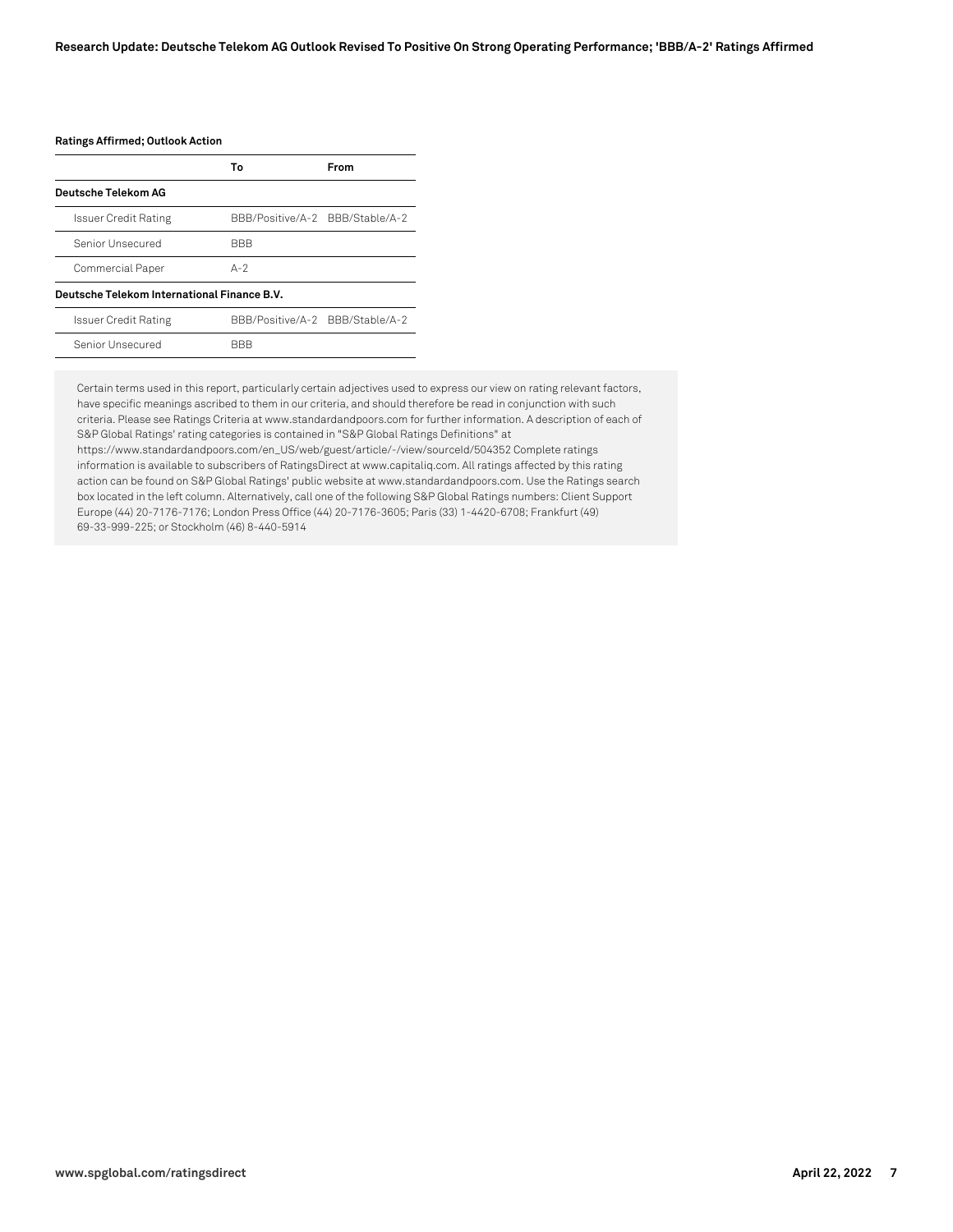#### **Ratings Affirmed; Outlook Action**

|                                             | Т٥                              | From |  |  |
|---------------------------------------------|---------------------------------|------|--|--|
| Deutsche Telekom AG                         |                                 |      |  |  |
| Issuer Credit Rating                        | BBB/Positive/A-2 BBB/Stable/A-2 |      |  |  |
| Senior Unsecured                            | <b>BBB</b>                      |      |  |  |
| Commercial Paper                            | $A-2$                           |      |  |  |
| Deutsche Telekom International Finance B.V. |                                 |      |  |  |

| <b>Issuer Credit Rating</b> | BBB/Positive/A-2 BBB/Stable/A-2 |  |
|-----------------------------|---------------------------------|--|
| Senior Unsecured            | <b>BBB</b>                      |  |
|                             |                                 |  |

Certain terms used in this report, particularly certain adjectives used to express our view on rating relevant factors, have specific meanings ascribed to them in our criteria, and should therefore be read in conjunction with such criteria. Please see Ratings Criteria at www.standardandpoors.com for further information. A description of each of S&P Global Ratings' rating categories is contained in "S&P Global Ratings Definitions" at https://www.standardandpoors.com/en\_US/web/guest/article/-/view/sourceId/504352 Complete ratings information is available to subscribers of RatingsDirect at www.capitaliq.com. All ratings affected by this rating action can be found on S&P Global Ratings' public website at www.standardandpoors.com. Use the Ratings search box located in the left column. Alternatively, call one of the following S&P Global Ratings numbers: Client Support Europe (44) 20-7176-7176; London Press Office (44) 20-7176-3605; Paris (33) 1-4420-6708; Frankfurt (49)

69-33-999-225; or Stockholm (46) 8-440-5914